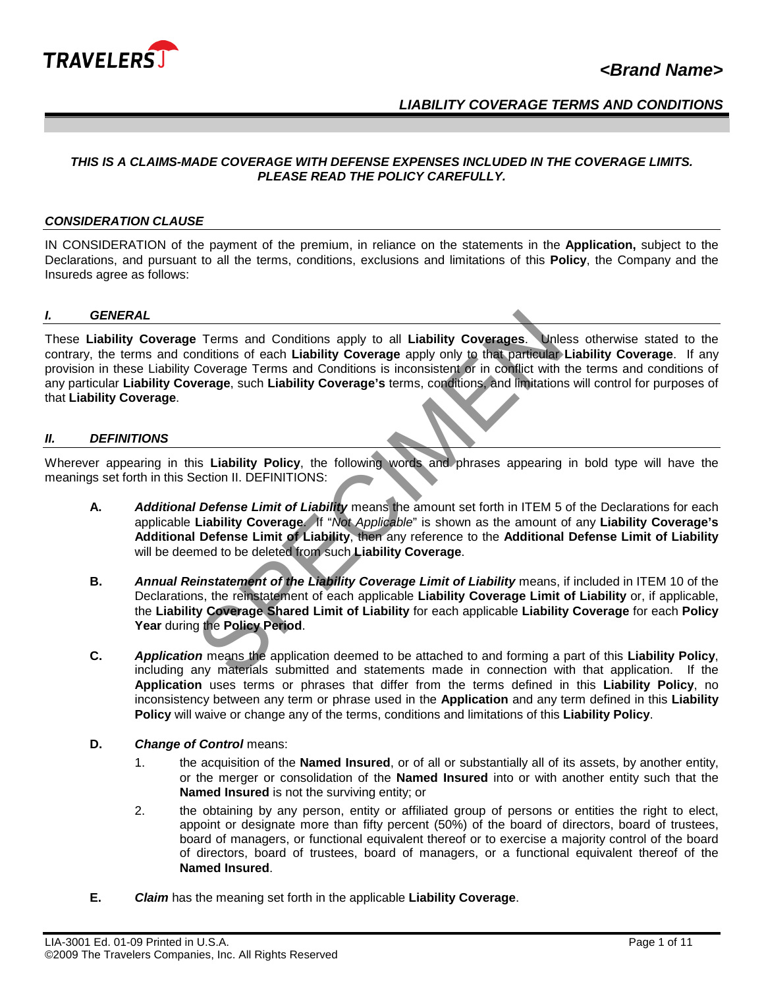

### *LIABILITY COVERAGE TERMS AND CONDITIONS*

#### *THIS IS A CLAIMS-MADE COVERAGE WITH DEFENSE EXPENSES INCLUDED IN THE COVERAGE LIMITS. PLEASE READ THE POLICY CAREFULLY.*

#### *CONSIDERATION CLAUSE*

IN CONSIDERATION of the payment of the premium, in reliance on the statements in the **Application,** subject to the Declarations, and pursuant to all the terms, conditions, exclusions and limitations of this **Policy**, the Company and the Insureds agree as follows:

#### *I. GENERAL*

These **Liability Coverage** Terms and Conditions apply to all **Liability Coverages**. Unless otherwise stated to the contrary, the terms and conditions of each **Liability Coverage** apply only to that particular **Liability Coverage**. If any provision in these Liability Coverage Terms and Conditions is inconsistent or in conflict with the terms and conditions of any particular **Liability Coverage**, such **Liability Coverage's** terms, conditions, and limitations will control for purposes of that **Liability Coverage**. Forms and Conditions apply to all Liability Coverages. Unleaditions of each Liability Coverage apply only to that particular Coverage Terms and Conditions is inconsistent or in condition there are events and limitation of

#### *II. DEFINITIONS*

Wherever appearing in this **Liability Policy**, the following words and phrases appearing in bold type will have the meanings set forth in this Section II. DEFINITIONS:

- **A.** *Additional Defense Limit of Liability* means the amount set forth in ITEM 5 of the Declarations for each applicable **Liability Coverage**. If "*Not Applicable*" is shown as the amount of any **Liability Coverage's Additional Defense Limit of Liability**, then any reference to the **Additional Defense Limit of Liability** will be deemed to be deleted from such **Liability Coverage**.
- **B.** *Annual Reinstatement of the Liability Coverage Limit of Liability* means, if included in ITEM 10 of the Declarations, the reinstatement of each applicable **Liability Coverage Limit of Liability** or, if applicable, the **Liability Coverage Shared Limit of Liability** for each applicable **Liability Coverage** for each **Policy Year** during the **Policy Period**.
- **C.** *Application* means the application deemed to be attached to and forming a part of this **Liability Policy**, including any materials submitted and statements made in connection with that application. If the **Application** uses terms or phrases that differ from the terms defined in this **Liability Policy**, no inconsistency between any term or phrase used in the **Application** and any term defined in this **Liability Policy** will waive or change any of the terms, conditions and limitations of this **Liability Policy**.
- **D.** *Change of Control* means:
	- 1. the acquisition of the **Named Insured**, or of all or substantially all of its assets, by another entity, or the merger or consolidation of the **Named Insured** into or with another entity such that the **Named Insured** is not the surviving entity; or
	- 2. the obtaining by any person, entity or affiliated group of persons or entities the right to elect, appoint or designate more than fifty percent (50%) of the board of directors, board of trustees, board of managers, or functional equivalent thereof or to exercise a majority control of the board of directors, board of trustees, board of managers, or a functional equivalent thereof of the **Named Insured**.
- **E.** *Claim* has the meaning set forth in the applicable **Liability Coverage**.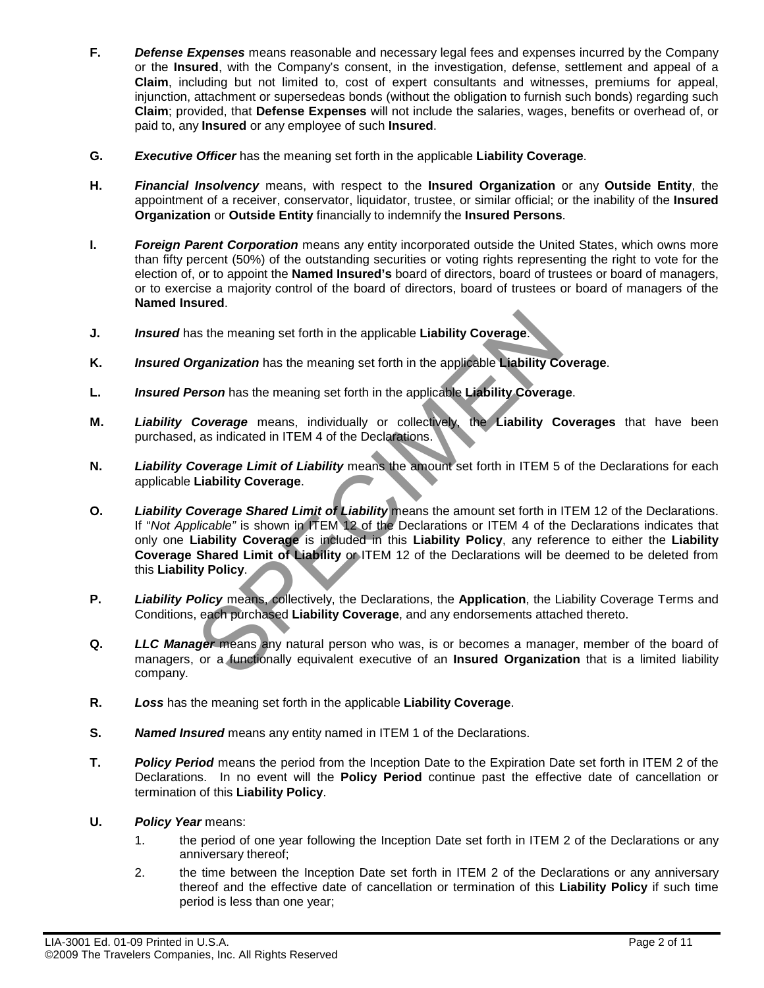- **F.** *Defense Expenses* means reasonable and necessary legal fees and expenses incurred by the Company or the **Insured**, with the Company's consent, in the investigation, defense, settlement and appeal of a **Claim**, including but not limited to, cost of expert consultants and witnesses, premiums for appeal, injunction, attachment or supersedeas bonds (without the obligation to furnish such bonds) regarding such **Claim**; provided, that **Defense Expenses** will not include the salaries, wages, benefits or overhead of, or paid to, any **Insured** or any employee of such **Insured**.
- **G.** *Executive Officer* has the meaning set forth in the applicable **Liability Coverage**.
- **H.** *Financial Insolvency* means, with respect to the **Insured Organization** or any **Outside Entity**, the appointment of a receiver, conservator, liquidator, trustee, or similar official; or the inability of the **Insured Organization** or **Outside Entity** financially to indemnify the **Insured Persons**.
- **I.** *Foreign Parent Corporation* means any entity incorporated outside the United States, which owns more than fifty percent (50%) of the outstanding securities or voting rights representing the right to vote for the election of, or to appoint the **Named Insured's** board of directors, board of trustees or board of managers, or to exercise a majority control of the board of directors, board of trustees or board of managers of the **Named Insured**.
- **J.** *Insured* has the meaning set forth in the applicable **Liability Coverage**.
- **K.** *Insured Organization* has the meaning set forth in the applicable **Liability Coverage**.
- **L.** *Insured Person* has the meaning set forth in the applicable **Liability Coverage**.
- **M.** *Liability Coverage* means, individually or collectively, the **Liability Coverages** that have been purchased, as indicated in ITEM 4 of the Declarations.
- **N.** *Liability Coverage Limit of Liability* means the amount set forth in ITEM 5 of the Declarations for each applicable **Liability Coverage**.
- **O.** *Liability Coverage Shared Limit of Liability* means the amount set forth in ITEM 12 of the Declarations. If "*Not Applicable"* is shown in ITEM 12 of the Declarations or ITEM 4 of the Declarations indicates that only one **Liability Coverage** is included in this **Liability Policy**, any reference to either the **Liability Coverage Shared Limit of Liability** or ITEM 12 of the Declarations will be deemed to be deleted from this **Liability Policy**. as the meaning set forth in the applicable Liability Coverage.<br> **Example 12** and the meaning set forth in the applicable Liability Correson has the meaning set forth in the applicable Liability Coverage<br> **Coverage** means,
- **P.** *Liability Policy* means, collectively, the Declarations, the **Application**, the Liability Coverage Terms and Conditions, each purchased **Liability Coverage**, and any endorsements attached thereto.
- **Q. LLC Manager** means any natural person who was, is or becomes a manager, member of the board of managers, or a functionally equivalent executive of an **Insured Organization** that is a limited liability company.
- **R.** *Loss* has the meaning set forth in the applicable **Liability Coverage**.
- **S.** *Named Insured* means any entity named in ITEM 1 of the Declarations.
- **T.** *Policy Period* means the period from the Inception Date to the Expiration Date set forth in ITEM 2 of the Declarations. In no event will the **Policy Period** continue past the effective date of cancellation or termination of this **Liability Policy**.
- **U.** *Policy Year* means:
	- 1. the period of one year following the Inception Date set forth in ITEM 2 of the Declarations or any anniversary thereof;
	- 2. the time between the Inception Date set forth in ITEM 2 of the Declarations or any anniversary thereof and the effective date of cancellation or termination of this **Liability Policy** if such time period is less than one year;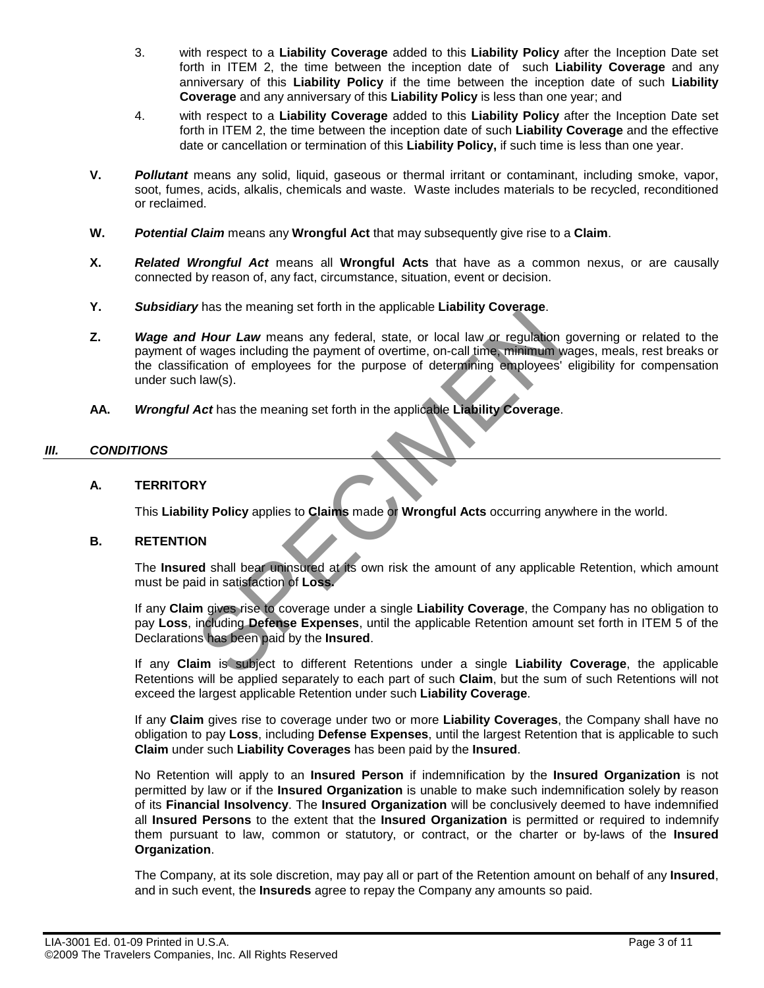- 3. with respect to a **Liability Coverage** added to this **Liability Policy** after the Inception Date set forth in ITEM 2, the time between the inception date of such **Liability Coverage** and any anniversary of this **Liability Policy** if the time between the inception date of such **Liability Coverage** and any anniversary of this **Liability Policy** is less than one year; and
- 4. with respect to a **Liability Coverage** added to this **Liability Policy** after the Inception Date set forth in ITEM 2, the time between the inception date of such **Liability Coverage** and the effective date or cancellation or termination of this **Liability Policy,** if such time is less than one year.
- **V.** *Pollutant* means any solid, liquid, gaseous or thermal irritant or contaminant, including smoke, vapor, soot, fumes, acids, alkalis, chemicals and waste. Waste includes materials to be recycled, reconditioned or reclaimed.
- **W.** *Potential Claim* means any **Wrongful Act** that may subsequently give rise to a **Claim**.
- **X.** *Related Wrongful Act* means all **Wrongful Acts** that have as a common nexus, or are causally connected by reason of, any fact, circumstance, situation, event or decision.
- **Y.** *Subsidiary* has the meaning set forth in the applicable **Liability Coverage**.
- **Z.** *Wage and Hour Law* means any federal, state, or local law or regulation governing or related to the payment of wages including the payment of overtime, on-call time, minimum wages, meals, rest breaks or the classification of employees for the purpose of determining employees' eligibility for compensation under such law(s). If Hour Law means any federal, state, or local law or regulation<br>If Hour Law means any federal, state, or local law or regulation<br>In law(s).<br>Act has the meaning set forth in the applicable Liability Coverage.<br>In law(s).<br>Ac
- **AA.** *Wrongful Act* has the meaning set forth in the applicable **Liability Coverage**.

### *III. CONDITIONS*

### **A. TERRITORY**

This **Liability Policy** applies to **Claims** made or **Wrongful Acts** occurring anywhere in the world.

#### **B. RETENTION**

The **Insured** shall bear uninsured at its own risk the amount of any applicable Retention, which amount must be paid in satisfaction of **Loss.** 

If any **Claim** gives rise to coverage under a single **Liability Coverage**, the Company has no obligation to pay **Loss**, including **Defense Expenses**, until the applicable Retention amount set forth in ITEM 5 of the Declarations has been paid by the **Insured**.

If any **Claim** is subject to different Retentions under a single **Liability Coverage**, the applicable Retentions will be applied separately to each part of such **Claim**, but the sum of such Retentions will not exceed the largest applicable Retention under such **Liability Coverage**.

If any **Claim** gives rise to coverage under two or more **Liability Coverages**, the Company shall have no obligation to pay **Loss**, including **Defense Expenses**, until the largest Retention that is applicable to such **Claim** under such **Liability Coverages** has been paid by the **Insured**.

No Retention will apply to an **Insured Person** if indemnification by the **Insured Organization** is not permitted by law or if the **Insured Organization** is unable to make such indemnification solely by reason of its **Financial Insolvency**. The **Insured Organization** will be conclusively deemed to have indemnified all **Insured Persons** to the extent that the **Insured Organization** is permitted or required to indemnify them pursuant to law, common or statutory, or contract, or the charter or by-laws of the **Insured Organization**.

The Company, at its sole discretion, may pay all or part of the Retention amount on behalf of any **Insured**, and in such event, the **Insureds** agree to repay the Company any amounts so paid.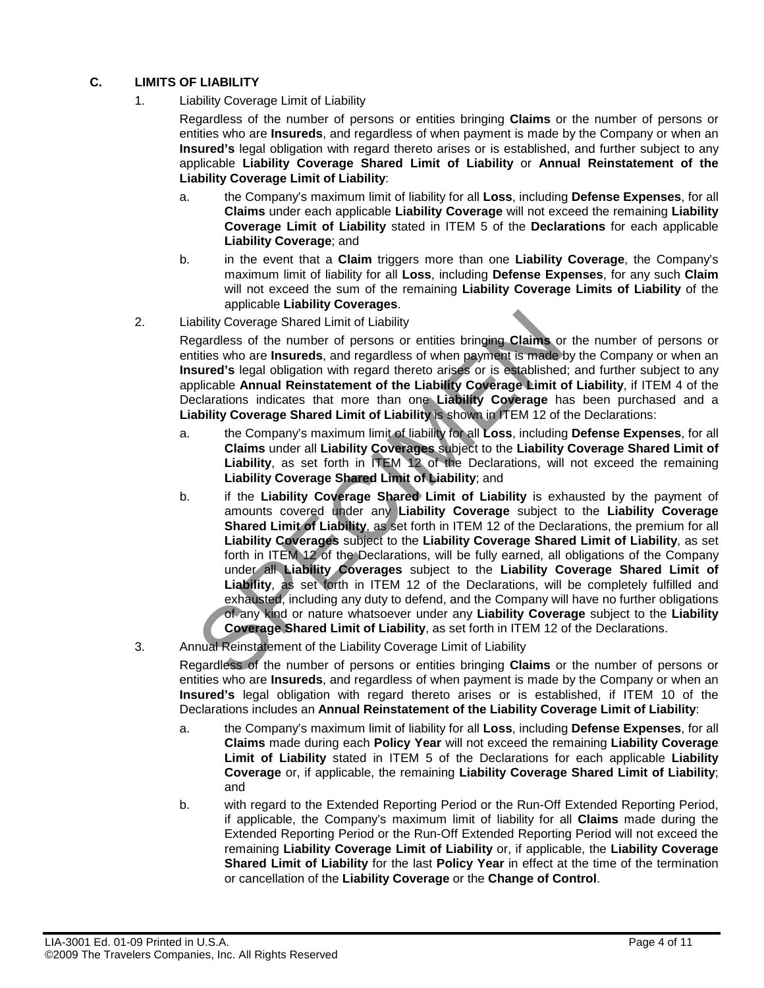# **C. LIMITS OF LIABILITY**

1. Liability Coverage Limit of Liability

Regardless of the number of persons or entities bringing **Claims** or the number of persons or entities who are **Insureds**, and regardless of when payment is made by the Company or when an **Insured's** legal obligation with regard thereto arises or is established, and further subject to any applicable **Liability Coverage Shared Limit of Liability** or **Annual Reinstatement of the Liability Coverage Limit of Liability**:

- a. the Company's maximum limit of liability for all **Loss**, including **Defense Expenses**, for all **Claims** under each applicable **Liability Coverage** will not exceed the remaining **Liability Coverage Limit of Liability** stated in ITEM 5 of the **Declarations** for each applicable **Liability Coverage**; and
- b. in the event that a **Claim** triggers more than one **Liability Coverage**, the Company's maximum limit of liability for all **Loss**, including **Defense Expenses**, for any such **Claim** will not exceed the sum of the remaining **Liability Coverage Limits of Liability** of the applicable **Liability Coverages**.
- 2. Liability Coverage Shared Limit of Liability

Regardless of the number of persons or entities bringing **Claims** or the number of persons or entities who are **Insureds**, and regardless of when payment is made by the Company or when an **Insured's** legal obligation with regard thereto arises or is established; and further subject to any applicable **Annual Reinstatement of the Liability Coverage Limit of Liability**, if ITEM 4 of the Declarations indicates that more than one **Liability Coverage** has been purchased and a **Liability Coverage Shared Limit of Liability** is shown in ITEM 12 of the Declarations:

- a. the Company's maximum limit of liability for all **Loss**, including **Defense Expenses**, for all **Claims** under all **Liability Coverages** subject to the **Liability Coverage Shared Limit of Liability**, as set forth in ITEM 12 of the Declarations, will not exceed the remaining **Liability Coverage Shared Limit of Liability**; and
- b. if the **Liability Coverage Shared Limit of Liability** is exhausted by the payment of amounts covered under any **Liability Coverage** subject to the **Liability Coverage Shared Limit of Liability, as set forth in ITEM 12 of the Declarations, the premium for all Liability Coverages** subject to the **Liability Coverage Shared Limit of Liability**, as set forth in ITEM 12 of the Declarations, will be fully earned, all obligations of the Company under all **Liability Coverages** subject to the **Liability Coverage Shared Limit of Liability**, as set forth in ITEM 12 of the Declarations, will be completely fulfilled and exhausted, including any duty to defend, and the Company will have no further obligations of any kind or nature whatsoever under any **Liability Coverage** subject to the **Liability Coverage Shared Limit of Liability**, as set forth in ITEM 12 of the Declarations. bility Coverage Shared Limit of Liability<br>gardless of the number of persons or entities bringing Claims of<br>tities who are **Insureds**, and regardless of when payment is made<br>sured's legal obligation with regard thereto aris
- 3. Annual Reinstatement of the Liability Coverage Limit of Liability

Regardless of the number of persons or entities bringing **Claims** or the number of persons or entities who are **Insureds**, and regardless of when payment is made by the Company or when an **Insured's** legal obligation with regard thereto arises or is established, if ITEM 10 of the Declarations includes an **Annual Reinstatement of the Liability Coverage Limit of Liability**:

- a. the Company's maximum limit of liability for all **Loss**, including **Defense Expenses**, for all **Claims** made during each **Policy Year** will not exceed the remaining **Liability Coverage Limit of Liability** stated in ITEM 5 of the Declarations for each applicable **Liability Coverage** or, if applicable, the remaining **Liability Coverage Shared Limit of Liability**; and
- b. with regard to the Extended Reporting Period or the Run-Off Extended Reporting Period, if applicable, the Company's maximum limit of liability for all **Claims** made during the Extended Reporting Period or the Run-Off Extended Reporting Period will not exceed the remaining **Liability Coverage Limit of Liability** or, if applicable, the **Liability Coverage Shared Limit of Liability** for the last **Policy Year** in effect at the time of the termination or cancellation of the **Liability Coverage** or the **Change of Control**.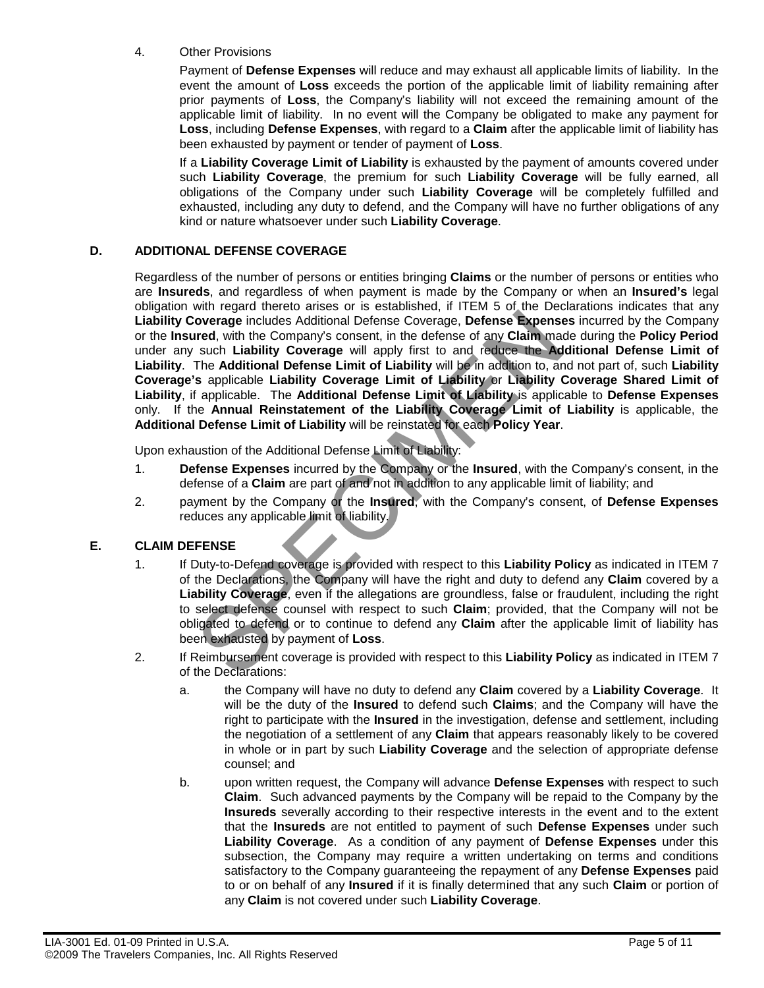### 4. Other Provisions

Payment of **Defense Expenses** will reduce and may exhaust all applicable limits of liability. In the event the amount of **Loss** exceeds the portion of the applicable limit of liability remaining after prior payments of **Loss**, the Company's liability will not exceed the remaining amount of the applicable limit of liability. In no event will the Company be obligated to make any payment for **Loss**, including **Defense Expenses**, with regard to a **Claim** after the applicable limit of liability has been exhausted by payment or tender of payment of **Loss**.

If a **Liability Coverage Limit of Liability** is exhausted by the payment of amounts covered under such **Liability Coverage**, the premium for such **Liability Coverage** will be fully earned, all obligations of the Company under such **Liability Coverage** will be completely fulfilled and exhausted, including any duty to defend, and the Company will have no further obligations of any kind or nature whatsoever under such **Liability Coverage**.

### **D. ADDITIONAL DEFENSE COVERAGE**

Regardless of the number of persons or entities bringing **Claims** or the number of persons or entities who are **Insureds**, and regardless of when payment is made by the Company or when an **Insured's** legal obligation with regard thereto arises or is established, if ITEM 5 of the Declarations indicates that any **Liability Coverage** includes Additional Defense Coverage, **Defense Expenses** incurred by the Company or the **Insured**, with the Company's consent, in the defense of any **Claim** made during the **Policy Period** under any such **Liability Coverage** will apply first to and reduce the **Additional Defense Limit of Liability**. The **Additional Defense Limit of Liability** will be in addition to, and not part of, such **Liability Coverage's** applicable **Liability Coverage Limit of Liability** or **Liability Coverage Shared Limit of Liability**, if applicable. The **Additional Defense Limit of Liability** is applicable to **Defense Expenses** only. If the **Annual Reinstatement of the Liability Coverage Limit of Liability** is applicable, the **Additional Defense Limit of Liability** will be reinstated for each **Policy Year**. wire agree includes Additional Defense Coverage, Defense Expension overage includes Additional Defense Coverage, Defense Expensively and the company's consent, in the defense of any Claim ma such Liability Coverage will ap

Upon exhaustion of the Additional Defense Limit of Liability:

- 1. **Defense Expenses** incurred by the Company or the **Insured**, with the Company's consent, in the defense of a **Claim** are part of and not in addition to any applicable limit of liability; and
- 2. payment by the Company or the **Insured**, with the Company's consent, of **Defense Expenses** reduces any applicable limit of liability.

### **E. CLAIM DEFENSE**

- 1. If Duty-to-Defend coverage is provided with respect to this **Liability Policy** as indicated in ITEM 7 of the Declarations, the Company will have the right and duty to defend any **Claim** covered by a **Liability Coverage**, even if the allegations are groundless, false or fraudulent, including the right to select defense counsel with respect to such **Claim**; provided, that the Company will not be obligated to defend or to continue to defend any **Claim** after the applicable limit of liability has been exhausted by payment of **Loss**.
- 2. If Reimbursement coverage is provided with respect to this **Liability Policy** as indicated in ITEM 7 of the Declarations:
	- a. the Company will have no duty to defend any **Claim** covered by a **Liability Coverage**. It will be the duty of the **Insured** to defend such **Claims**; and the Company will have the right to participate with the **Insured** in the investigation, defense and settlement, including the negotiation of a settlement of any **Claim** that appears reasonably likely to be covered in whole or in part by such **Liability Coverage** and the selection of appropriate defense counsel; and
	- b. upon written request, the Company will advance **Defense Expenses** with respect to such **Claim**. Such advanced payments by the Company will be repaid to the Company by the **Insureds** severally according to their respective interests in the event and to the extent that the **Insureds** are not entitled to payment of such **Defense Expenses** under such **Liability Coverage**. As a condition of any payment of **Defense Expenses** under this subsection, the Company may require a written undertaking on terms and conditions satisfactory to the Company guaranteeing the repayment of any **Defense Expenses** paid to or on behalf of any **Insured** if it is finally determined that any such **Claim** or portion of any **Claim** is not covered under such **Liability Coverage**.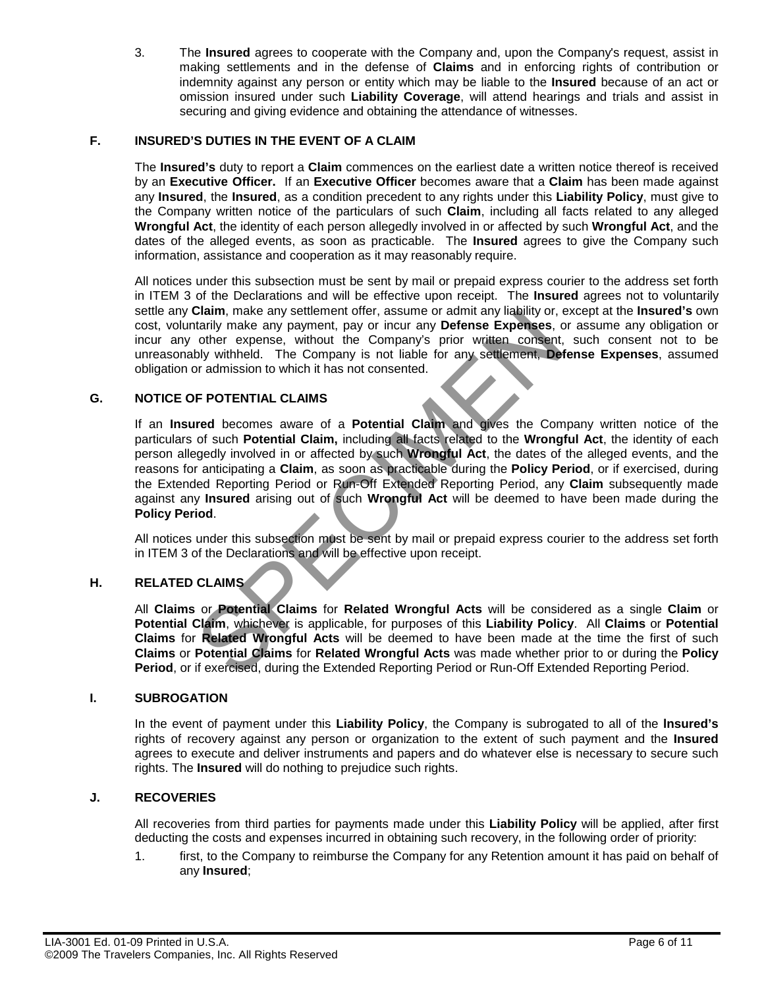3. The **Insured** agrees to cooperate with the Company and, upon the Company's request, assist in making settlements and in the defense of **Claims** and in enforcing rights of contribution or indemnity against any person or entity which may be liable to the **Insured** because of an act or omission insured under such **Liability Coverage**, will attend hearings and trials and assist in securing and giving evidence and obtaining the attendance of witnesses.

# **F. INSURED'S DUTIES IN THE EVENT OF A CLAIM**

The **Insured's** duty to report a **Claim** commences on the earliest date a written notice thereof is received by an **Executive Officer.** If an **Executive Officer** becomes aware that a **Claim** has been made against any **Insured**, the **Insured**, as a condition precedent to any rights under this **Liability Policy**, must give to the Company written notice of the particulars of such **Claim**, including all facts related to any alleged **Wrongful Act**, the identity of each person allegedly involved in or affected by such **Wrongful Act**, and the dates of the alleged events, as soon as practicable. The **Insured** agrees to give the Company such information, assistance and cooperation as it may reasonably require.

All notices under this subsection must be sent by mail or prepaid express courier to the address set forth in ITEM 3 of the Declarations and will be effective upon receipt. The **Insured** agrees not to voluntarily settle any **Claim**, make any settlement offer, assume or admit any liability or, except at the **Insured's** own cost, voluntarily make any payment, pay or incur any **Defense Expenses**, or assume any obligation or incur any other expense, without the Company's prior written consent, such consent not to be unreasonably withheld. The Company is not liable for any settlement, **Defense Expenses**, assumed obligation or admission to which it has not consented.

### **G. NOTICE OF POTENTIAL CLAIMS**

If an **Insured** becomes aware of a **Potential Claim** and gives the Company written notice of the particulars of such **Potential Claim,** including all facts related to the **Wrongful Act**, the identity of each person allegedly involved in or affected by such **Wrongful Act**, the dates of the alleged events, and the reasons for anticipating a **Claim**, as soon as practicable during the **Policy Period**, or if exercised, during the Extended Reporting Period or Run-Off Extended Reporting Period, any **Claim** subsequently made against any **Insured** arising out of such **Wrongful Act** will be deemed to have been made during the **Policy Period**. Claim, make any seturement oner, assume or admit any make the constanting make any payment, pay or incur any **Defense Expenses**, other expense, without the Company's prior written consent, by withheld. The Company is not l

All notices under this subsection must be sent by mail or prepaid express courier to the address set forth in ITEM 3 of the Declarations and will be effective upon receipt.

### **H. RELATED CLAIMS**

All **Claims** or **Potential Claims** for **Related Wrongful Acts** will be considered as a single **Claim** or **Potential Claim**, whichever is applicable, for purposes of this **Liability Policy**. All **Claims** or **Potential Claims** for **Related Wrongful Acts** will be deemed to have been made at the time the first of such **Claims** or **Potential Claims** for **Related Wrongful Acts** was made whether prior to or during the **Policy Period**, or if exercised, during the Extended Reporting Period or Run-Off Extended Reporting Period.

### **I. SUBROGATION**

In the event of payment under this **Liability Policy**, the Company is subrogated to all of the **lnsured's**  rights of recovery against any person or organization to the extent of such payment and the **Insured**  agrees to execute and deliver instruments and papers and do whatever else is necessary to secure such rights. The **Insured** will do nothing to prejudice such rights.

### **J. RECOVERIES**

All recoveries from third parties for payments made under this **Liability Policy** will be applied, after first deducting the costs and expenses incurred in obtaining such recovery, in the following order of priority:

1. first, to the Company to reimburse the Company for any Retention amount it has paid on behalf of any **Insured**;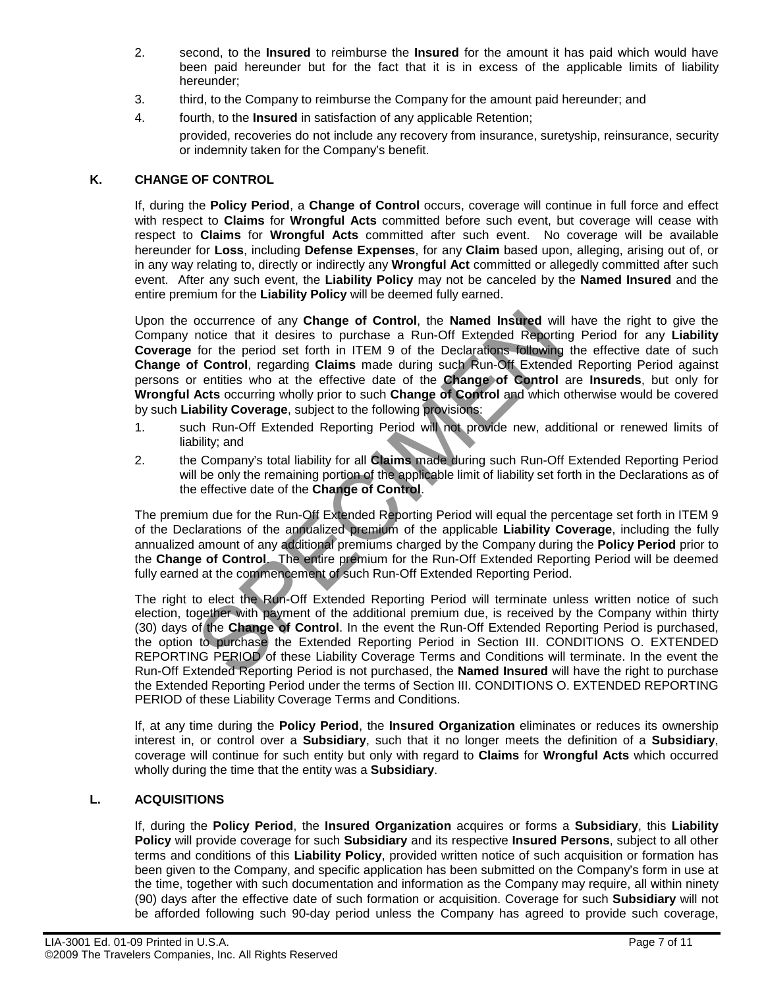- 2. second, to the **Insured** to reimburse the **Insured** for the amount it has paid which would have been paid hereunder but for the fact that it is in excess of the applicable limits of liability hereunder;
- 3. third, to the Company to reimburse the Company for the amount paid hereunder; and
- 4. fourth, to the **Insured** in satisfaction of any applicable Retention;

provided, recoveries do not include any recovery from insurance, suretyship, reinsurance, security or indemnity taken for the Company's benefit.

### **K. CHANGE OF CONTROL**

If, during the **Policy Period**, a **Change of Control** occurs, coverage will continue in full force and effect with respect to **Claims** for **Wrongful Acts** committed before such event, but coverage will cease with respect to **Claims** for **Wrongful Acts** committed after such event. No coverage will be available hereunder for **Loss**, including **Defense Expenses**, for any **Claim** based upon, alleging, arising out of, or in any way relating to, directly or indirectly any **Wrongful Act** committed or allegedly committed after such event. After any such event, the **Liability Policy** may not be canceled by the **Named Insured** and the entire premium for the **Liability Policy** will be deemed fully earned.

Upon the occurrence of any **Change of Control**, the **Named Insured** will have the right to give the Company notice that it desires to purchase a Run-Off Extended Reporting Period for any **Liability Coverage** for the period set forth in ITEM 9 of the Declarations following the effective date of such **Change of Control**, regarding **Claims** made during such Run-Off Extended Reporting Period against persons or entities who at the effective date of the **Change of Control** are **Insureds**, but only for **Wrongful Acts** occurring wholly prior to such **Change of Control** and which otherwise would be covered by such **Liability Coverage**, subject to the following provisions: occurrence of any **Change of Control**, the Named Insured will<br>notice that it desires to purchase a Run-Off Extended Reportit<br>for the preird set forth in ITEM 9 of the Declarations following<br>f **Control**, regarding Claims ma

- 1. such Run-Off Extended Reporting Period will not provide new, additional or renewed limits of liability; and
- 2. the Company's total liability for all **Claims** made during such Run-Off Extended Reporting Period will be only the remaining portion of the applicable limit of liability set forth in the Declarations as of the effective date of the **Change of Control**.

The premium due for the Run-Off Extended Reporting Period will equal the percentage set forth in ITEM 9 of the Declarations of the annualized premium of the applicable **Liability Coverage**, including the fully annualized amount of any additional premiums charged by the Company during the **Policy Period** prior to the **Change of Control**. The entire premium for the Run-Off Extended Reporting Period will be deemed fully earned at the commencement of such Run-Off Extended Reporting Period.

The right to elect the Run-Off Extended Reporting Period will terminate unless written notice of such election, together with payment of the additional premium due, is received by the Company within thirty (30) days of the **Change of Control**. In the event the Run-Off Extended Reporting Period is purchased, the option to purchase the Extended Reporting Period in Section III. CONDITIONS O. EXTENDED REPORTING PERIOD of these Liability Coverage Terms and Conditions will terminate. In the event the Run-Off Extended Reporting Period is not purchased, the **Named Insured** will have the right to purchase the Extended Reporting Period under the terms of Section III. CONDITIONS O. EXTENDED REPORTING PERIOD of these Liability Coverage Terms and Conditions.

If, at any time during the **Policy Period**, the **Insured Organization** eliminates or reduces its ownership interest in, or control over a **Subsidiary**, such that it no longer meets the definition of a **Subsidiary**, coverage will continue for such entity but only with regard to **Claims** for **Wrongful Acts** which occurred wholly during the time that the entity was a **Subsidiary**.

### **L. ACQUISITIONS**

If, during the **Policy Period**, the **Insured Organization** acquires or forms a **Subsidiary**, this **Liability Policy** will provide coverage for such **Subsidiary** and its respective **Insured Persons**, subject to all other terms and conditions of this **Liability Policy**, provided written notice of such acquisition or formation has been given to the Company, and specific application has been submitted on the Company's form in use at the time, together with such documentation and information as the Company may require, all within ninety (90) days after the effective date of such formation or acquisition. Coverage for such **Subsidiary** will not be afforded following such 90-day period unless the Company has agreed to provide such coverage,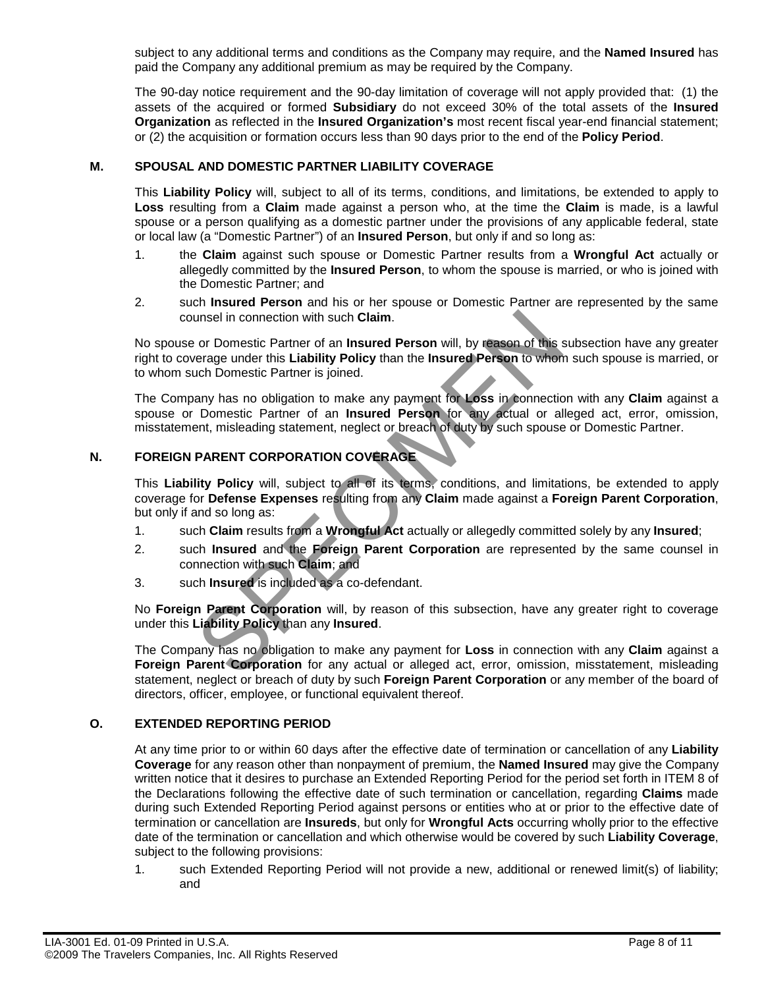subject to any additional terms and conditions as the Company may require, and the **Named Insured** has paid the Company any additional premium as may be required by the Company.

The 90-day notice requirement and the 90-day limitation of coverage will not apply provided that: (1) the assets of the acquired or formed **Subsidiary** do not exceed 30% of the total assets of the **Insured Organization** as reflected in the **Insured Organization's** most recent fiscal year-end financial statement; or (2) the acquisition or formation occurs less than 90 days prior to the end of the **Policy Period**.

# **M. SPOUSAL AND DOMESTIC PARTNER LIABILITY COVERAGE**

This **Liability Policy** will, subject to all of its terms, conditions, and limitations, be extended to apply to **Loss** resulting from a **Claim** made against a person who, at the time the **Claim** is made, is a lawful spouse or a person qualifying as a domestic partner under the provisions of any applicable federal, state or local law (a "Domestic Partner") of an **Insured Person**, but only if and so long as:

- 1. the **Claim** against such spouse or Domestic Partner results from a **Wrongful Act** actually or allegedly committed by the **Insured Person**, to whom the spouse is married, or who is joined with the Domestic Partner; and
- 2. such **Insured Person** and his or her spouse or Domestic Partner are represented by the same counsel in connection with such **Claim**.

No spouse or Domestic Partner of an **Insured Person** will, by reason of this subsection have any greater right to coverage under this **Liability Policy** than the **Insured Person** to whom such spouse is married, or to whom such Domestic Partner is joined.

The Company has no obligation to make any payment for **Loss** in connection with any **Claim** against a spouse or Domestic Partner of an **Insured Person** for any actual or alleged act, error, omission, misstatement, misleading statement, neglect or breach of duty by such spouse or Domestic Partner. unsel in connection with such Claim.<br>
or Domestic Partner of an Insured Person will, by reason of this<br>
verage under this **Liability Policy** than the Insured Person to when<br>
uch Domestic Partner is joined.<br>
any has no obli

# **N. FOREIGN PARENT CORPORATION COVERAGE**

This **Liability Policy** will, subject to all of its terms, conditions, and limitations, be extended to apply coverage for **Defense Expenses** resulting from any **Claim** made against a **Foreign Parent Corporation**, but only if and so long as:

- 1. such **Claim** results from a **Wrongful Act** actually or allegedly committed solely by any **Insured**;
- 2. such **Insured** and the **Foreign Parent Corporation** are represented by the same counsel in connection with such **Claim**; and
- 3. such **Insured** is included as a co-defendant.

No **Foreign Parent Corporation** will, by reason of this subsection, have any greater right to coverage under this **Liability Policy** than any **Insured**.

The Company has no obligation to make any payment for **Loss** in connection with any **Claim** against a **Foreign Parent Corporation** for any actual or alleged act, error, omission, misstatement, misleading statement, neglect or breach of duty by such **Foreign Parent Corporation** or any member of the board of directors, officer, employee, or functional equivalent thereof.

### **O. EXTENDED REPORTING PERIOD**

At any time prior to or within 60 days after the effective date of termination or cancellation of any **Liability Coverage** for any reason other than nonpayment of premium, the **Named Insured** may give the Company written notice that it desires to purchase an Extended Reporting Period for the period set forth in ITEM 8 of the Declarations following the effective date of such termination or cancellation, regarding **Claims** made during such Extended Reporting Period against persons or entities who at or prior to the effective date of termination or cancellation are **Insureds**, but only for **Wrongful Acts** occurring wholly prior to the effective date of the termination or cancellation and which otherwise would be covered by such **Liability Coverage**, subject to the following provisions:

1. such Extended Reporting Period will not provide a new, additional or renewed limit(s) of liability; and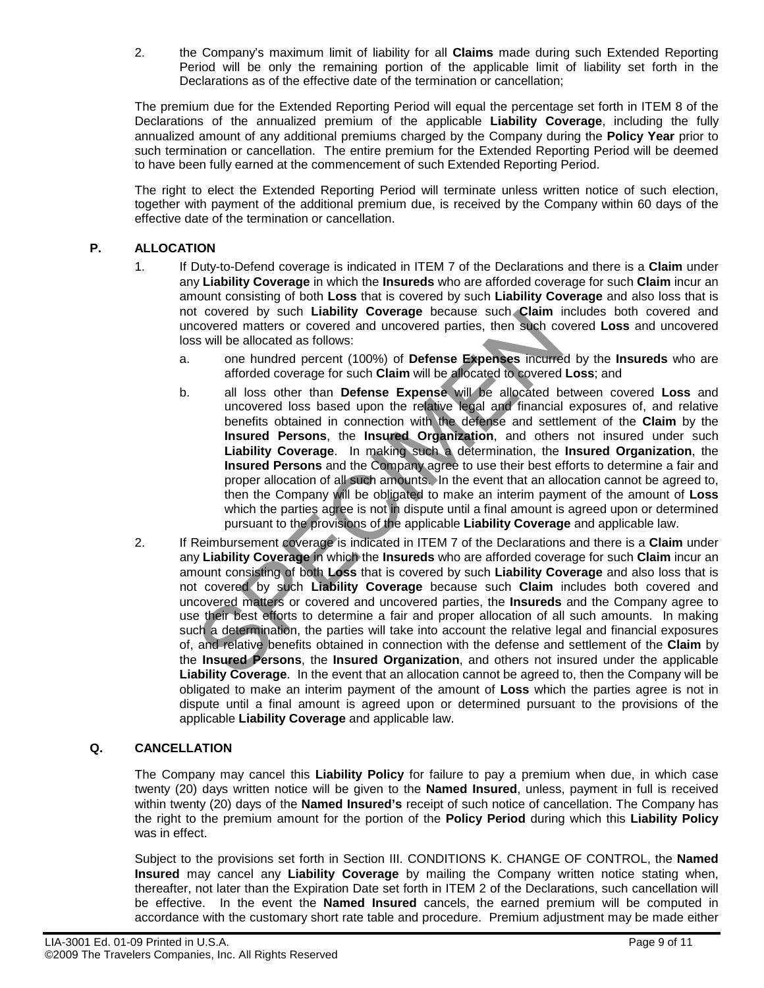2. the Company's maximum limit of liability for all **Claims** made during such Extended Reporting Period will be only the remaining portion of the applicable limit of liability set forth in the Declarations as of the effective date of the termination or cancellation;

The premium due for the Extended Reporting Period will equal the percentage set forth in ITEM 8 of the Declarations of the annualized premium of the applicable **Liability Coverage**, including the fully annualized amount of any additional premiums charged by the Company during the **Policy Year** prior to such termination or cancellation. The entire premium for the Extended Reporting Period will be deemed to have been fully earned at the commencement of such Extended Reporting Period.

The right to elect the Extended Reporting Period will terminate unless written notice of such election, together with payment of the additional premium due, is received by the Company within 60 days of the effective date of the termination or cancellation.

# **P. ALLOCATION**

- 1. If Duty-to-Defend coverage is indicated in ITEM 7 of the Declarations and there is a **Claim** under any **Liability Coverage** in which the **Insureds** who are afforded coverage for such **Claim** incur an amount consisting of both **Loss** that is covered by such **Liability Coverage** and also loss that is not covered by such **Liability Coverage** because such **Claim** includes both covered and uncovered matters or covered and uncovered parties, then such covered **Loss** and uncovered loss will be allocated as follows:
	- a. one hundred percent (100%) of **Defense Expenses** incurred by the **Insureds** who are afforded coverage for such **Claim** will be allocated to covered **Loss**; and
	- b. all loss other than **Defense Expense** will be allocated between covered **Loss** and uncovered loss based upon the relative legal and financial exposures of, and relative benefits obtained in connection with the defense and settlement of the **Claim** by the **Insured Persons**, the **Insured Organization**, and others not insured under such **Liability Coverage**. In making such a determination, the **Insured Organization**, the **Insured Persons** and the Company agree to use their best efforts to determine a fair and proper allocation of all such amounts. In the event that an allocation cannot be agreed to, then the Company will be obligated to make an interim payment of the amount of **Loss** which the parties agree is not in dispute until a final amount is agreed upon or determined pursuant to the provisions of the applicable **Liability Coverage** and applicable law. r covered material or covered material or covered matters or covered matters or covered and uncovered parties, then such covered and uncovered parties, then such covered as so those such Claim will be allocated to covered
- 2. If Reimbursement coverage is indicated in ITEM 7 of the Declarations and there is a **Claim** under any **Liability Coverage** in which the **Insureds** who are afforded coverage for such **Claim** incur an amount consisting of both **Loss** that is covered by such **Liability Coverage** and also loss that is not covered by such **Liability Coverage** because such **Claim** includes both covered and uncovered matters or covered and uncovered parties, the **Insureds** and the Company agree to use their best efforts to determine a fair and proper allocation of all such amounts. In making such a determination, the parties will take into account the relative legal and financial exposures of, and relative benefits obtained in connection with the defense and settlement of the **Claim** by the **Insured Persons**, the **Insured Organization**, and others not insured under the applicable **Liability Coverage**. In the event that an allocation cannot be agreed to, then the Company will be obligated to make an interim payment of the amount of **Loss** which the parties agree is not in dispute until a final amount is agreed upon or determined pursuant to the provisions of the applicable **Liability Coverage** and applicable law.

# **Q. CANCELLATION**

The Company may cancel this **Liability Policy** for failure to pay a premium when due, in which case twenty (20) days written notice will be given to the **Named Insured**, unless, payment in full is received within twenty (20) days of the **Named Insured's** receipt of such notice of cancellation. The Company has the right to the premium amount for the portion of the **Policy Period** during which this **Liability Policy**  was in effect.

Subject to the provisions set forth in Section III. CONDITIONS K. CHANGE OF CONTROL, the **Named Insured** may cancel any **Liability Coverage** by mailing the Company written notice stating when, thereafter, not later than the Expiration Date set forth in ITEM 2 of the Declarations, such cancellation will be effective. In the event the **Named Insured** cancels, the earned premium will be computed in accordance with the customary short rate table and procedure. Premium adjustment may be made either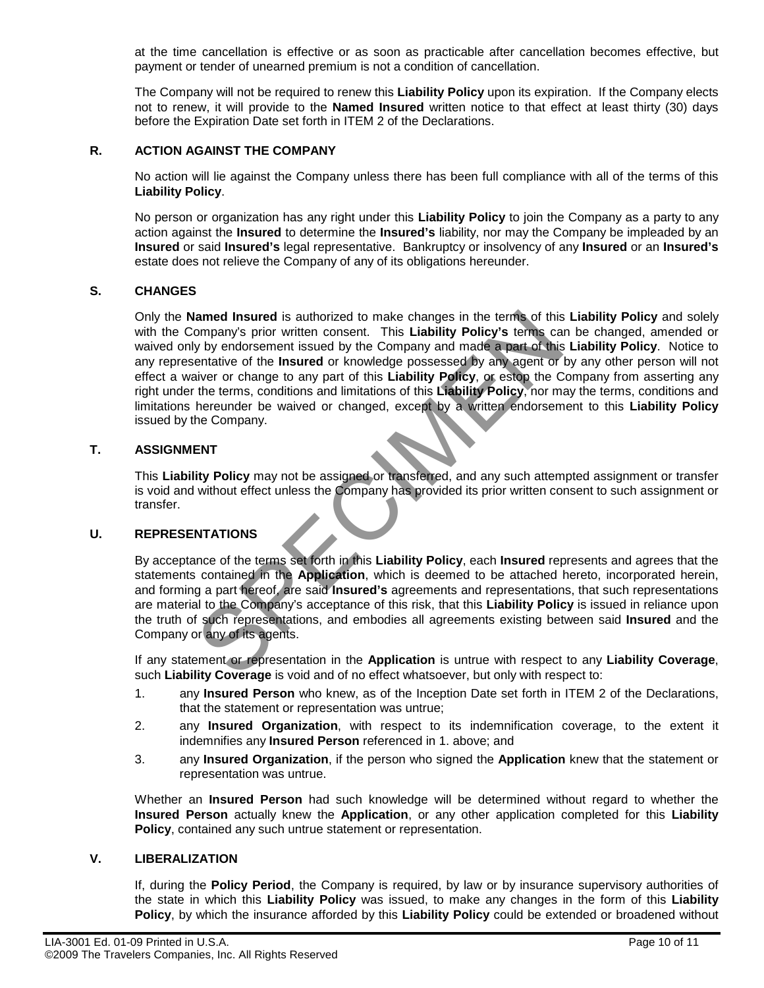at the time cancellation is effective or as soon as practicable after cancellation becomes effective, but payment or tender of unearned premium is not a condition of cancellation.

The Company will not be required to renew this **Liability Policy** upon its expiration. If the Company elects not to renew, it will provide to the **Named Insured** written notice to that effect at least thirty (30) days before the Expiration Date set forth in ITEM 2 of the Declarations.

# **R. ACTION AGAINST THE COMPANY**

No action will lie against the Company unless there has been full compliance with all of the terms of this **Liability Policy**.

No person or organization has any right under this **Liability Policy** to join the Company as a party to any action against the **Insured** to determine the **Insured's** liability, nor may the Company be impleaded by an **Insured** or said **Insured's** legal representative.Bankruptcy or insolvency of any **Insured** or an **Insured's**  estate does not relieve the Company of any of its obligations hereunder.

### **S. CHANGES**

Only the **Named Insured** is authorized to make changes in the terms of this **Liability Policy** and solely with the Company's prior written consent. This **Liability Policy's** terms can be changed, amended or waived only by endorsement issued by the Company and made a part of this **Liability Policy**. Notice to any representative of the **Insured** or knowledge possessed by any agent or by any other person will not effect a waiver or change to any part of this **Liability Policy**, or estop the Company from asserting any right under the terms, conditions and limitations of this **Liability Policy**, nor may the terms, conditions and limitations hereunder be waived or changed, except by a written endorsement to this **Liability Policy** issued by the Company. lamed Insured is authorized to make changes in the terms of this<br>ompany's prior written consent. This Liability Policy's terms can<br>by the company and made a part of this<br>entative of the Insured or knowledge possessed by an

#### **T. ASSIGNMENT**

This **Liability Policy** may not be assigned or transferred, and any such attempted assignment or transfer is void and without effect unless the Company has provided its prior written consent to such assignment or transfer.

### **U. REPRESENTATIONS**

By acceptance of the terms set forth in this **Liability Policy**, each **Insured** represents and agrees that the statements contained in the **Application**, which is deemed to be attached hereto, incorporated herein, and forming a part hereof, are said **Insured's** agreements and representations, that such representations are material to the Company's acceptance of this risk, that this **Liability Policy** is issued in reliance upon the truth of such representations, and embodies all agreements existing between said **Insured** and the Company or any of its agents.

If any statement or representation in the **Application** is untrue with respect to any **Liability Coverage**, such **Liability Coverage** is void and of no effect whatsoever, but only with respect to:

- 1. any **Insured Person** who knew, as of the Inception Date set forth in ITEM 2 of the Declarations, that the statement or representation was untrue;
- 2. any **Insured Organization**, with respect to its indemnification coverage, to the extent it indemnifies any **Insured Person** referenced in 1. above; and
- 3. any **Insured Organization**, if the person who signed the **Application** knew that the statement or representation was untrue.

Whether an **Insured Person** had such knowledge will be determined without regard to whether the **Insured Person** actually knew the **Application**, or any other application completed for this **Liability Policy**, contained any such untrue statement or representation.

#### **V. LIBERALIZATION**

If, during the **Policy Period**, the Company is required, by law or by insurance supervisory authorities of the state in which this **Liability Policy** was issued, to make any changes in the form of this **Liability Policy**, by which the insurance afforded by this **Liability Policy** could be extended or broadened without